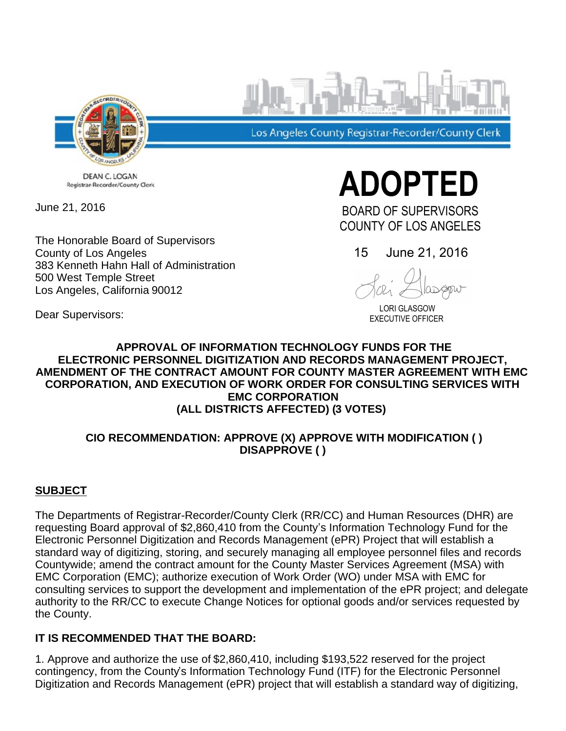

Los Angeles County Registrar-Recorder/County Clerk

DEAN C. LOGAN Registrar-Recorder/County Clerk

June 21, 2016

Dear Supervisors:

The Honorable Board of Supervisors County of Los Angeles 383 Kenneth Hahn Hall of Administration 500 West Temple Street Los Angeles, California 90012

**ADOPTED**  BOARD OF SUPERVISORS

COUNTY OF LOS ANGELES

15 June 21, 2016

 LORI GLASGOW EXECUTIVE OFFICER

# **APPROVAL OF INFORMATION TECHNOLOGY FUNDS FOR THE ELECTRONIC PERSONNEL DIGITIZATION AND RECORDS MANAGEMENT PROJECT, AMENDMENT OF THE CONTRACT AMOUNT FOR COUNTY MASTER AGREEMENT WITH EMC CORPORATION, AND EXECUTION OF WORK ORDER FOR CONSULTING SERVICES WITH**

**EMC CORPORATION**

# **(ALL DISTRICTS AFFECTED) (3 VOTES)**

## **CIO RECOMMENDATION: APPROVE (X) APPROVE WITH MODIFICATION ( ) DISAPPROVE ( )**

## **SUBJECT**

The Departments of Registrar-Recorder/County Clerk (RR/CC) and Human Resources (DHR) are requesting Board approval of \$2,860,410 from the County's Information Technology Fund for the Electronic Personnel Digitization and Records Management (ePR) Project that will establish a standard way of digitizing, storing, and securely managing all employee personnel files and records Countywide; amend the contract amount for the County Master Services Agreement (MSA) with EMC Corporation (EMC); authorize execution of Work Order (WO) under MSA with EMC for consulting services to support the development and implementation of the ePR project; and delegate authority to the RR/CC to execute Change Notices for optional goods and/or services requested by the County.

## **IT IS RECOMMENDED THAT THE BOARD:**

1. Approve and authorize the use of \$2,860,410, including \$193,522 reserved for the project contingency, from the County's Information Technology Fund (ITF) for the Electronic Personnel Digitization and Records Management (ePR) project that will establish a standard way of digitizing,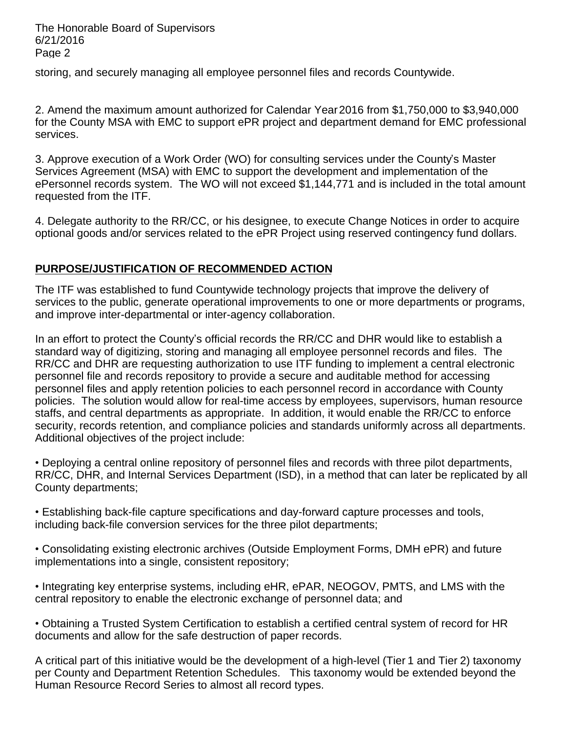The Honorable Board of Supervisors 6/21/2016 Page 2

storing, and securely managing all employee personnel files and records Countywide.

2. Amend the maximum amount authorized for Calendar Year 2016 from \$1,750,000 to \$3,940,000 for the County MSA with EMC to support ePR project and department demand for EMC professional services.

3. Approve execution of a Work Order (WO) for consulting services under the County's Master Services Agreement (MSA) with EMC to support the development and implementation of the ePersonnel records system. The WO will not exceed \$1,144,771 and is included in the total amount requested from the ITF.

4. Delegate authority to the RR/CC, or his designee, to execute Change Notices in order to acquire optional goods and/or services related to the ePR Project using reserved contingency fund dollars.

### **PURPOSE/JUSTIFICATION OF RECOMMENDED ACTION**

The ITF was established to fund Countywide technology projects that improve the delivery of services to the public, generate operational improvements to one or more departments or programs, and improve inter-departmental or inter-agency collaboration.

In an effort to protect the County's official records the RR/CC and DHR would like to establish a standard way of digitizing, storing and managing all employee personnel records and files. The RR/CC and DHR are requesting authorization to use ITF funding to implement a central electronic personnel file and records repository to provide a secure and auditable method for accessing personnel files and apply retention policies to each personnel record in accordance with County policies. The solution would allow for real-time access by employees, supervisors, human resource staffs, and central departments as appropriate. In addition, it would enable the RR/CC to enforce security, records retention, and compliance policies and standards uniformly across all departments. Additional objectives of the project include:

Deploying a central online repository of personnel files and records with three pilot departments, RR/CC, DHR, and Internal Services Department (ISD), in a method that can later be replicated by all County departments;

Establishing back-file capture specifications and day-forward capture processes and tools, including back-file conversion services for the three pilot departments;

Consolidating existing electronic archives (Outside Employment Forms, DMH ePR) and future implementations into a single, consistent repository;

• Integrating key enterprise systems, including eHR, ePAR, NEOGOV, PMTS, and LMS with the central repository to enable the electronic exchange of personnel data; and

Obtaining a Trusted System Certification to establish a certified central system of record for HR documents and allow for the safe destruction of paper records.

A critical part of this initiative would be the development of a high-level (Tier 1 and Tier 2) taxonomy per County and Department Retention Schedules. This taxonomy would be extended beyond the Human Resource Record Series to almost all record types.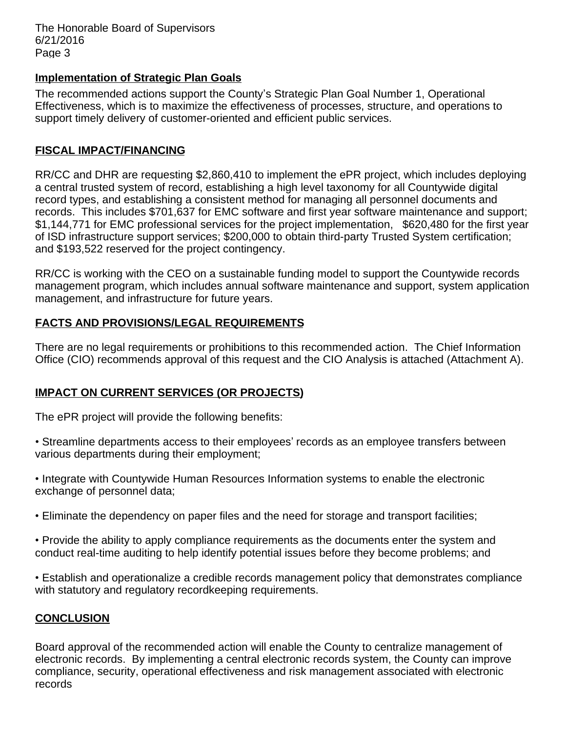The Honorable Board of Supervisors 6/21/2016 Page 3

#### **Implementation of Strategic Plan Goals**

The recommended actions support the County's Strategic Plan Goal Number 1, Operational Effectiveness, which is to maximize the effectiveness of processes, structure, and operations to support timely delivery of customer-oriented and efficient public services.

#### **FISCAL IMPACT/FINANCING**

RR/CC and DHR are requesting \$2,860,410 to implement the ePR project, which includes deploying a central trusted system of record, establishing a high level taxonomy for all Countywide digital record types, and establishing a consistent method for managing all personnel documents and records. This includes \$701,637 for EMC software and first year software maintenance and support; \$1,144,771 for EMC professional services for the project implementation, \$620,480 for the first year of ISD infrastructure support services; \$200,000 to obtain third-party Trusted System certification; and \$193,522 reserved for the project contingency.

RR/CC is working with the CEO on a sustainable funding model to support the Countywide records management program, which includes annual software maintenance and support, system application management, and infrastructure for future years.

### **FACTS AND PROVISIONS/LEGAL REQUIREMENTS**

There are no legal requirements or prohibitions to this recommended action. The Chief Information Office (CIO) recommends approval of this request and the CIO Analysis is attached (Attachment A).

## **IMPACT ON CURRENT SERVICES (OR PROJECTS)**

The ePR project will provide the following benefits:

- Streamline departments access to their employees' records as an employee transfers between various departments during their employment;
- Integrate with Countywide Human Resources Information systems to enable the electronic exchange of personnel data;
- Eliminate the dependency on paper files and the need for storage and transport facilities;
- Provide the ability to apply compliance requirements as the documents enter the system and conduct real-time auditing to help identify potential issues before they become problems; and
- Establish and operationalize a credible records management policy that demonstrates compliance with statutory and regulatory record keeping requirements.

## **CONCLUSION**

Board approval of the recommended action will enable the County to centralize management of electronic records. By implementing a central electronic records system, the County can improve compliance, security, operational effectiveness and risk management associated with electronic records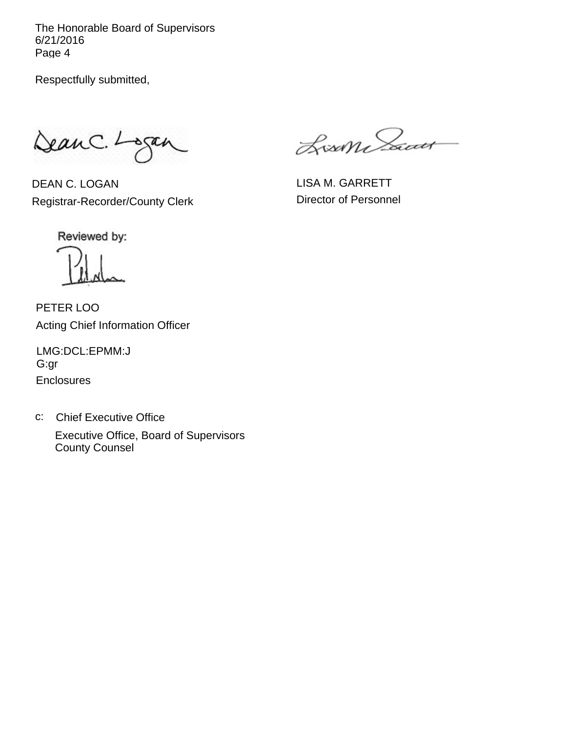The Honorable Board of Supervisors 6/21/2016 Page 4

Respectfully submitted,

DeanC. Logan

DEAN C. LOGAN Registrar-Recorder/County Clerk

Lisan Sacar

LISA M. GARRETT Director of Personnel

Reviewed by:

PETER LOO Acting Chief Information Officer

**Enclosures** LMG:DCL:EPMM:J G:gr

c: Chief Executive Office Executive Office, Board of Supervisors County Counsel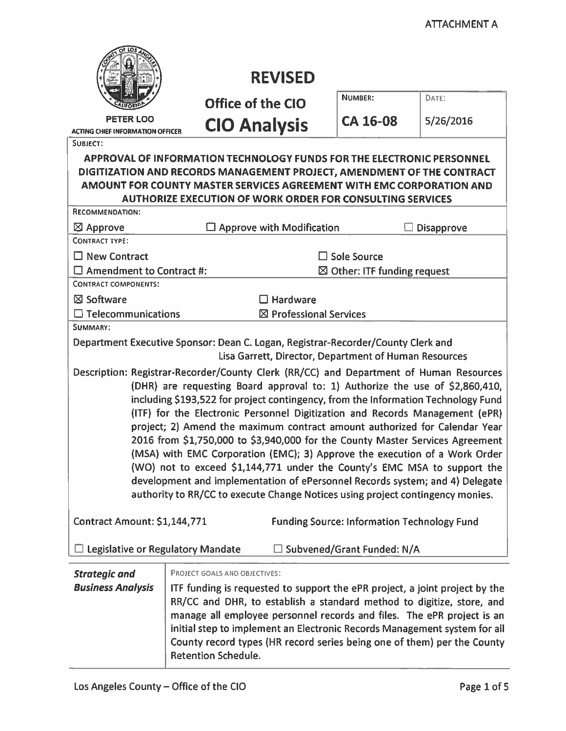|                                                                                                                                                                                                                                                                                                                                                                                                                                                                                                                                                                                                                                                                                                                                                                                                                                                                                                                                                                                                                                                                                                                                                     | <b>REVISED</b>                                                                                                                                                                                                                                                                                                                                                                                                                                        |                                        |                   |  |
|-----------------------------------------------------------------------------------------------------------------------------------------------------------------------------------------------------------------------------------------------------------------------------------------------------------------------------------------------------------------------------------------------------------------------------------------------------------------------------------------------------------------------------------------------------------------------------------------------------------------------------------------------------------------------------------------------------------------------------------------------------------------------------------------------------------------------------------------------------------------------------------------------------------------------------------------------------------------------------------------------------------------------------------------------------------------------------------------------------------------------------------------------------|-------------------------------------------------------------------------------------------------------------------------------------------------------------------------------------------------------------------------------------------------------------------------------------------------------------------------------------------------------------------------------------------------------------------------------------------------------|----------------------------------------|-------------------|--|
|                                                                                                                                                                                                                                                                                                                                                                                                                                                                                                                                                                                                                                                                                                                                                                                                                                                                                                                                                                                                                                                                                                                                                     | <b>Office of the CIO</b>                                                                                                                                                                                                                                                                                                                                                                                                                              | <b>NUMBER:</b>                         | DATE:             |  |
| <b>PETER LOO</b><br><b>ACTING CHIEF INFORMATION OFFICER</b>                                                                                                                                                                                                                                                                                                                                                                                                                                                                                                                                                                                                                                                                                                                                                                                                                                                                                                                                                                                                                                                                                         | <b>CIO Analysis</b>                                                                                                                                                                                                                                                                                                                                                                                                                                   | <b>CA 16-08</b>                        | 5/26/2016         |  |
| SUBJECT:<br>APPROVAL OF INFORMATION TECHNOLOGY FUNDS FOR THE ELECTRONIC PERSONNEL<br>DIGITIZATION AND RECORDS MANAGEMENT PROJECT, AMENDMENT OF THE CONTRACT<br>AMOUNT FOR COUNTY MASTER SERVICES AGREEMENT WITH EMC CORPORATION AND<br><b>AUTHORIZE EXECUTION OF WORK ORDER FOR CONSULTING SERVICES</b>                                                                                                                                                                                                                                                                                                                                                                                                                                                                                                                                                                                                                                                                                                                                                                                                                                             |                                                                                                                                                                                                                                                                                                                                                                                                                                                       |                                        |                   |  |
| RECOMMENDATION:                                                                                                                                                                                                                                                                                                                                                                                                                                                                                                                                                                                                                                                                                                                                                                                                                                                                                                                                                                                                                                                                                                                                     |                                                                                                                                                                                                                                                                                                                                                                                                                                                       |                                        |                   |  |
| $\boxtimes$ Approve                                                                                                                                                                                                                                                                                                                                                                                                                                                                                                                                                                                                                                                                                                                                                                                                                                                                                                                                                                                                                                                                                                                                 | $\Box$ Approve with Modification                                                                                                                                                                                                                                                                                                                                                                                                                      |                                        | <b>Disapprove</b> |  |
| <b>CONTRACT TYPE:</b>                                                                                                                                                                                                                                                                                                                                                                                                                                                                                                                                                                                                                                                                                                                                                                                                                                                                                                                                                                                                                                                                                                                               |                                                                                                                                                                                                                                                                                                                                                                                                                                                       |                                        |                   |  |
| $\Box$ New Contract                                                                                                                                                                                                                                                                                                                                                                                                                                                                                                                                                                                                                                                                                                                                                                                                                                                                                                                                                                                                                                                                                                                                 |                                                                                                                                                                                                                                                                                                                                                                                                                                                       | □ Sole Source                          |                   |  |
| $\Box$ Amendment to Contract #:<br><b>CONTRACT COMPONENTS:</b>                                                                                                                                                                                                                                                                                                                                                                                                                                                                                                                                                                                                                                                                                                                                                                                                                                                                                                                                                                                                                                                                                      |                                                                                                                                                                                                                                                                                                                                                                                                                                                       | $\boxtimes$ Other: ITF funding request |                   |  |
| ⊠ Software                                                                                                                                                                                                                                                                                                                                                                                                                                                                                                                                                                                                                                                                                                                                                                                                                                                                                                                                                                                                                                                                                                                                          |                                                                                                                                                                                                                                                                                                                                                                                                                                                       |                                        |                   |  |
| $\Box$ Telecommunications                                                                                                                                                                                                                                                                                                                                                                                                                                                                                                                                                                                                                                                                                                                                                                                                                                                                                                                                                                                                                                                                                                                           | $\square$ Hardware<br>$\boxtimes$ Professional Services                                                                                                                                                                                                                                                                                                                                                                                               |                                        |                   |  |
| SUMMARY:                                                                                                                                                                                                                                                                                                                                                                                                                                                                                                                                                                                                                                                                                                                                                                                                                                                                                                                                                                                                                                                                                                                                            |                                                                                                                                                                                                                                                                                                                                                                                                                                                       |                                        |                   |  |
| Department Executive Sponsor: Dean C. Logan, Registrar-Recorder/County Clerk and<br>Lisa Garrett, Director, Department of Human Resources<br>Description: Registrar-Recorder/County Clerk (RR/CC) and Department of Human Resources<br>(DHR) are requesting Board approval to: 1) Authorize the use of \$2,860,410,<br>including \$193,522 for project contingency, from the Information Technology Fund<br>(ITF) for the Electronic Personnel Digitization and Records Management (ePR)<br>project; 2) Amend the maximum contract amount authorized for Calendar Year<br>2016 from \$1,750,000 to \$3,940,000 for the County Master Services Agreement<br>(MSA) with EMC Corporation (EMC); 3) Approve the execution of a Work Order<br>(WO) not to exceed \$1,144,771 under the County's EMC MSA to support the<br>development and implementation of ePersonnel Records system; and 4) Delegate<br>authority to RR/CC to execute Change Notices using project contingency monies.<br>Contract Amount: \$1,144,771<br><b>Funding Source: Information Technology Fund</b><br>Legislative or Regulatory Mandate<br>$\Box$ Subvened/Grant Funded: N/A |                                                                                                                                                                                                                                                                                                                                                                                                                                                       |                                        |                   |  |
| <b>Strategic and</b><br><b>Business Analysis</b>                                                                                                                                                                                                                                                                                                                                                                                                                                                                                                                                                                                                                                                                                                                                                                                                                                                                                                                                                                                                                                                                                                    | PROJECT GOALS AND OBJECTIVES:<br>ITF funding is requested to support the ePR project, a joint project by the<br>RR/CC and DHR, to establish a standard method to digitize, store, and<br>manage all employee personnel records and files. The ePR project is an<br>initial step to implement an Electronic Records Management system for all<br>County record types (HR record series being one of them) per the County<br><b>Retention Schedule.</b> |                                        |                   |  |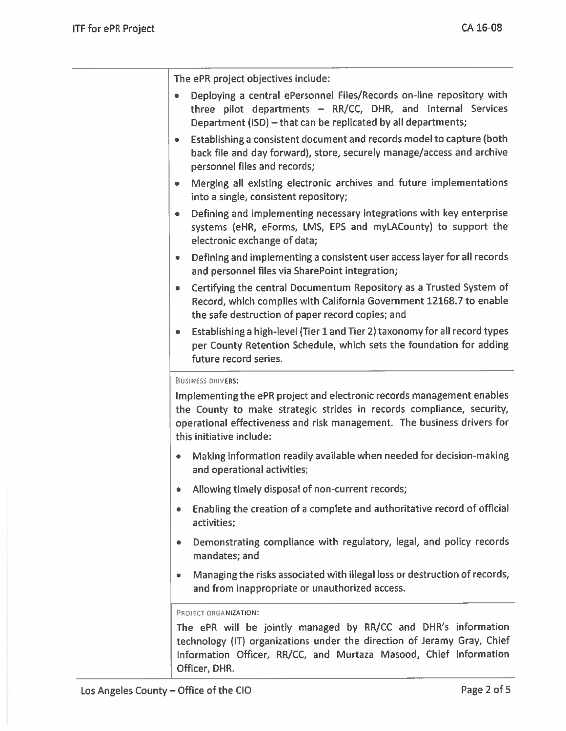The ePR project objectives include:

- Deploying a central ePersonnel Files/Records on-line repository with three pilot departments - RR/CC, DHR, and Internal Services Department (ISD) - that can be replicated by all departments;
- Establishing a consistent document and records model to capture (both back file and day forward), store, securely manage/access and archive personnel files and records;
- Merging all existing electronic archives and future implementations into a single, consistent repository;
- Defining and implementing necessary integrations with key enterprise systems (eHR, eForms, LMS, EPS and myLACounty) to support the electronic exchange of data;
- Defining and implementing a consistent user access layer for all records and personnel files via SharePoint integration;
- Certifying the central Documentum Repository as a Trusted System of Record, which complies with California Government 12168.7 to enable the safe destruction of paper record copies; and
- Establishing a high-level (Tier 1 and Tier 2) taxonomy for all record types per County Retention Schedule, which sets the foundation for adding future record series.

#### **BUSINESS DRIVERS:**

Implementing the ePR project and electronic records management enables the County to make strategic strides in records compliance, security, operational effectiveness and risk management. The business drivers for this initiative include:

- Making information readily available when needed for decision-making and operational activities;
- Allowing timely disposal of non-current records;  $\bullet$
- Enabling the creation of a complete and authoritative record of official activities;
- Demonstrating compliance with regulatory, legal, and policy records  $\bullet$ mandates; and
- Managing the risks associated with illegal loss or destruction of records, and from inappropriate or unauthorized access.

#### PROJECT ORGANIZATION:

The ePR will be jointly managed by RR/CC and DHR's information technology (IT) organizations under the direction of Jeramy Gray, Chief Information Officer, RR/CC, and Murtaza Masood, Chief Information Officer, DHR.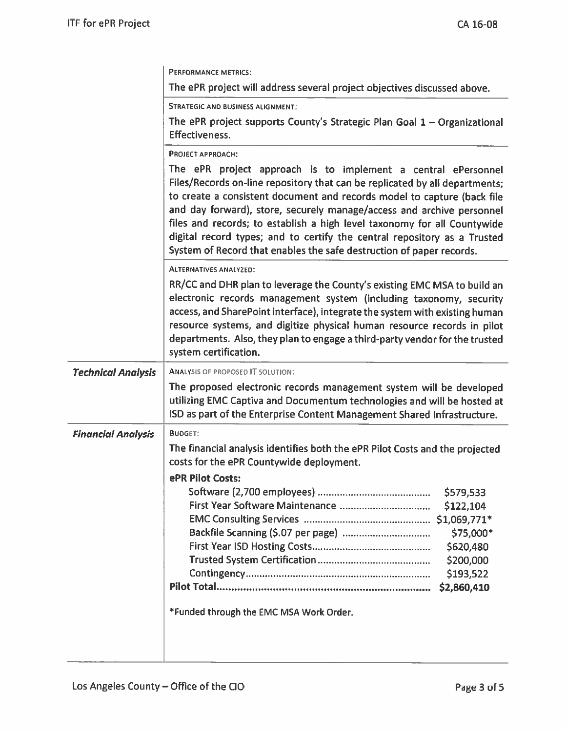| PERFORMANCE METRICS:                                                                                                                                                                                                                                                                                                                                                                                                                                                                                                             |  |  |
|----------------------------------------------------------------------------------------------------------------------------------------------------------------------------------------------------------------------------------------------------------------------------------------------------------------------------------------------------------------------------------------------------------------------------------------------------------------------------------------------------------------------------------|--|--|
| The ePR project will address several project objectives discussed above.                                                                                                                                                                                                                                                                                                                                                                                                                                                         |  |  |
| <b>STRATEGIC AND BUSINESS ALIGNMENT:</b>                                                                                                                                                                                                                                                                                                                                                                                                                                                                                         |  |  |
| The ePR project supports County's Strategic Plan Goal $1 -$ Organizational<br><b>Effectiveness.</b>                                                                                                                                                                                                                                                                                                                                                                                                                              |  |  |
| <b>PROJECT APPROACH:</b>                                                                                                                                                                                                                                                                                                                                                                                                                                                                                                         |  |  |
| The ePR project approach is to implement a central ePersonnel<br>Files/Records on-line repository that can be replicated by all departments;<br>to create a consistent document and records model to capture (back file<br>and day forward), store, securely manage/access and archive personnel<br>files and records; to establish a high level taxonomy for all Countywide<br>digital record types; and to certify the central repository as a Trusted<br>System of Record that enables the safe destruction of paper records. |  |  |
| <b>ALTERNATIVES ANALYZED:</b>                                                                                                                                                                                                                                                                                                                                                                                                                                                                                                    |  |  |
| RR/CC and DHR plan to leverage the County's existing EMC MSA to build an<br>electronic records management system (including taxonomy, security<br>access, and SharePoint interface), integrate the system with existing human<br>resource systems, and digitize physical human resource records in pilot<br>departments. Also, they plan to engage a third-party vendor for the trusted<br>system certification.                                                                                                                 |  |  |
| <b>Technical Analysis</b><br><b>ANALYSIS OF PROPOSED IT SOLUTION:</b>                                                                                                                                                                                                                                                                                                                                                                                                                                                            |  |  |
| The proposed electronic records management system will be developed<br>utilizing EMC Captiva and Documentum technologies and will be hosted at<br>ISD as part of the Enterprise Content Management Shared Infrastructure.                                                                                                                                                                                                                                                                                                        |  |  |
| <b>BUDGET:</b>                                                                                                                                                                                                                                                                                                                                                                                                                                                                                                                   |  |  |
| The financial analysis identifies both the ePR Pilot Costs and the projected                                                                                                                                                                                                                                                                                                                                                                                                                                                     |  |  |
| costs for the ePR Countywide deployment.                                                                                                                                                                                                                                                                                                                                                                                                                                                                                         |  |  |
| ePR Pilot Costs:<br>\$579,533<br>\$122,104<br>\$75,000*<br>\$620,480<br>\$200,000<br>\$193,522<br>\$2,860,410                                                                                                                                                                                                                                                                                                                                                                                                                    |  |  |
|                                                                                                                                                                                                                                                                                                                                                                                                                                                                                                                                  |  |  |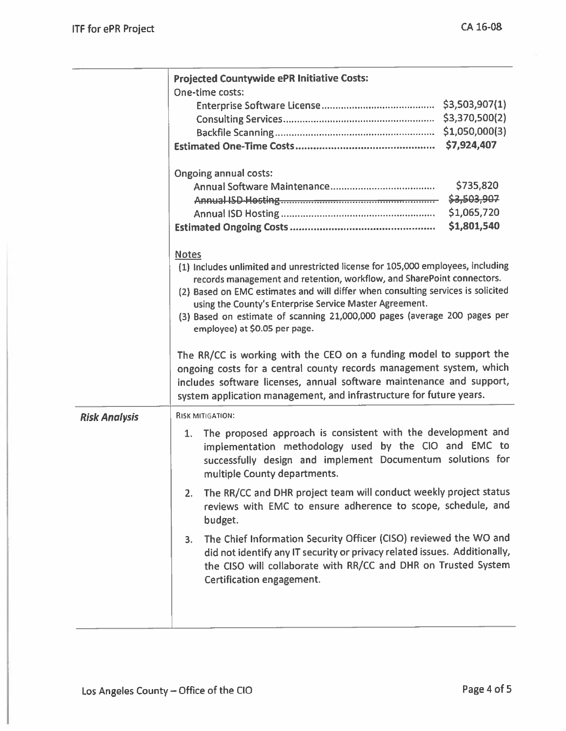|                      | <b>Projected Countywide ePR Initiative Costs:</b><br>One-time costs:                                                                                                                                                                                                                                                                                                                                                                    |  |  |
|----------------------|-----------------------------------------------------------------------------------------------------------------------------------------------------------------------------------------------------------------------------------------------------------------------------------------------------------------------------------------------------------------------------------------------------------------------------------------|--|--|
|                      | \$7,924,407                                                                                                                                                                                                                                                                                                                                                                                                                             |  |  |
|                      | <b>Ongoing annual costs:</b><br>\$735,820<br>\$3,503,907<br>\$1,065,720<br>\$1,801,540                                                                                                                                                                                                                                                                                                                                                  |  |  |
|                      | <b>Notes</b><br>(1) Includes unlimited and unrestricted license for 105,000 employees, including<br>records management and retention, workflow, and SharePoint connectors.<br>(2) Based on EMC estimates and will differ when consulting services is solicited<br>using the County's Enterprise Service Master Agreement.<br>(3) Based on estimate of scanning 21,000,000 pages (average 200 pages per<br>employee) at \$0.05 per page. |  |  |
|                      | The RR/CC is working with the CEO on a funding model to support the<br>ongoing costs for a central county records management system, which<br>includes software licenses, annual software maintenance and support,<br>system application management, and infrastructure for future years.                                                                                                                                               |  |  |
| <b>Risk Analysis</b> | <b>RISK MITIGATION:</b>                                                                                                                                                                                                                                                                                                                                                                                                                 |  |  |
|                      | The proposed approach is consistent with the development and<br>1.<br>implementation methodology used by the CIO and EMC to<br>successfully design and implement Documentum solutions for<br>multiple County departments.                                                                                                                                                                                                               |  |  |
|                      | The RR/CC and DHR project team will conduct weekly project status<br>2.<br>reviews with EMC to ensure adherence to scope, schedule, and<br>budget.                                                                                                                                                                                                                                                                                      |  |  |
|                      | The Chief Information Security Officer (CISO) reviewed the WO and<br>3.<br>did not identify any IT security or privacy related issues. Additionally,<br>the CISO will collaborate with RR/CC and DHR on Trusted System<br>Certification engagement.                                                                                                                                                                                     |  |  |
|                      |                                                                                                                                                                                                                                                                                                                                                                                                                                         |  |  |